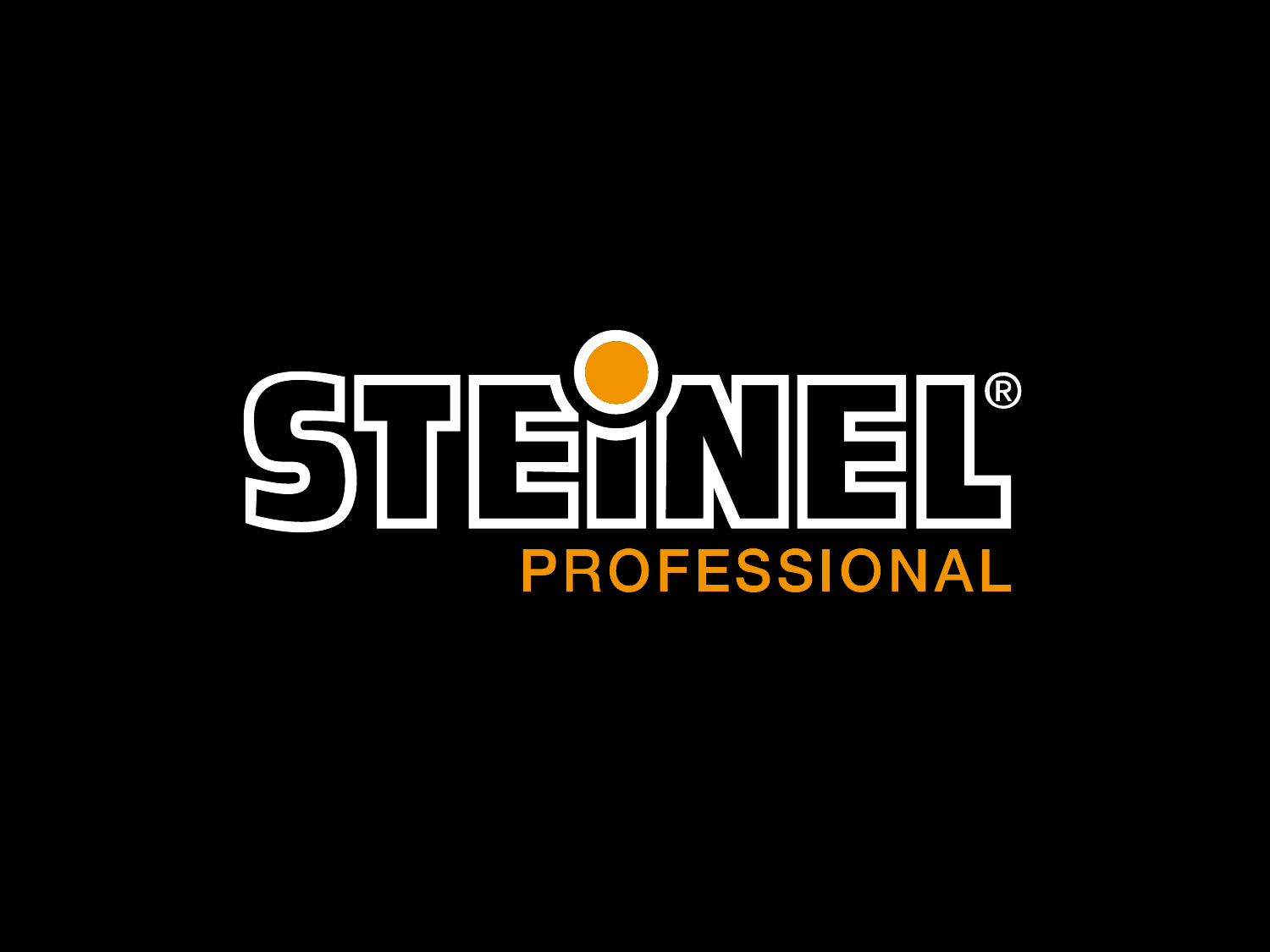# STEHNEL®  $\bigcirc$ PROFESSIONAL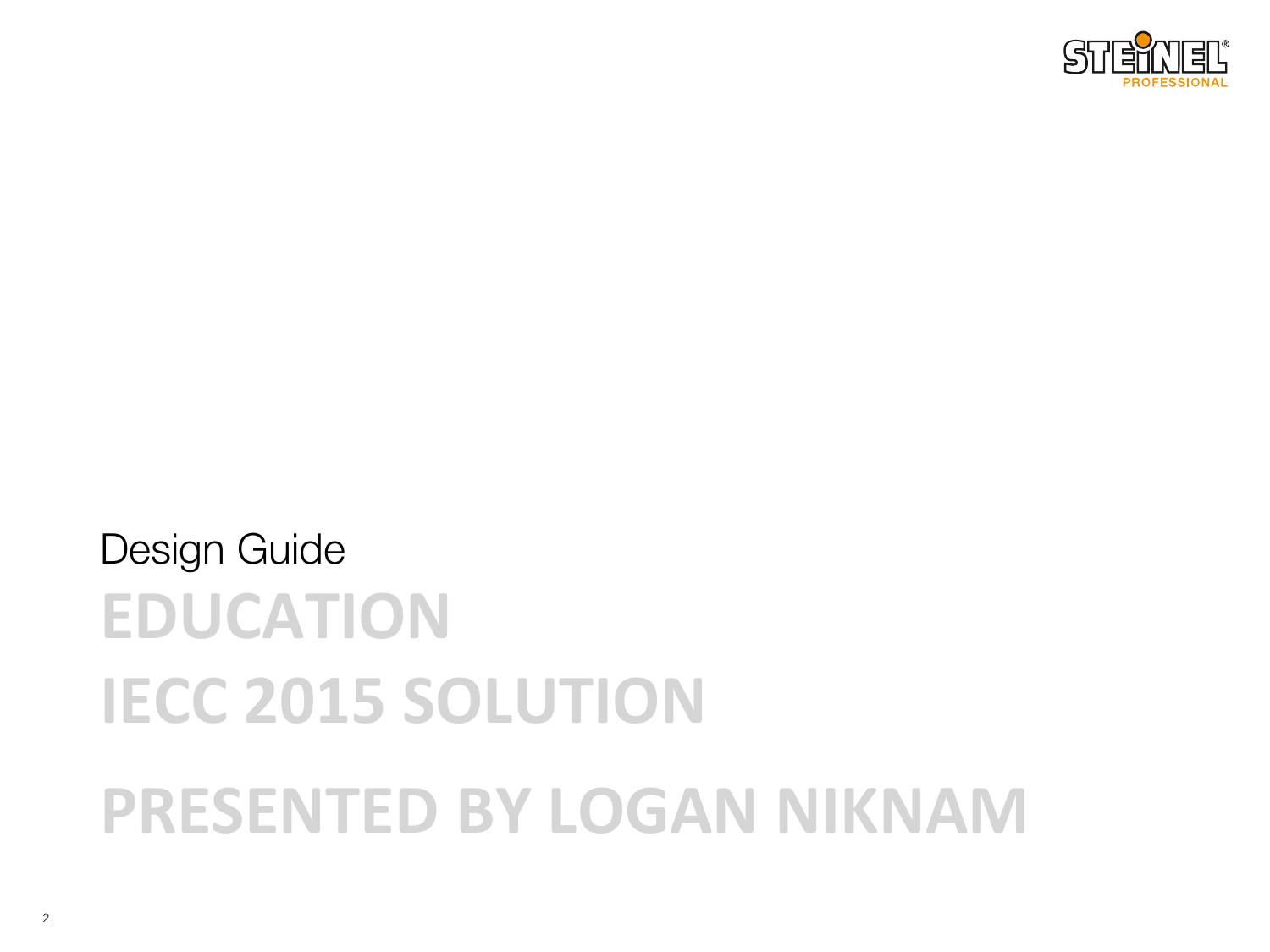

## **EDUCATION IECC 2015 SOLUTION PRESENTED BY LOGAN NIKNAM** Design Guide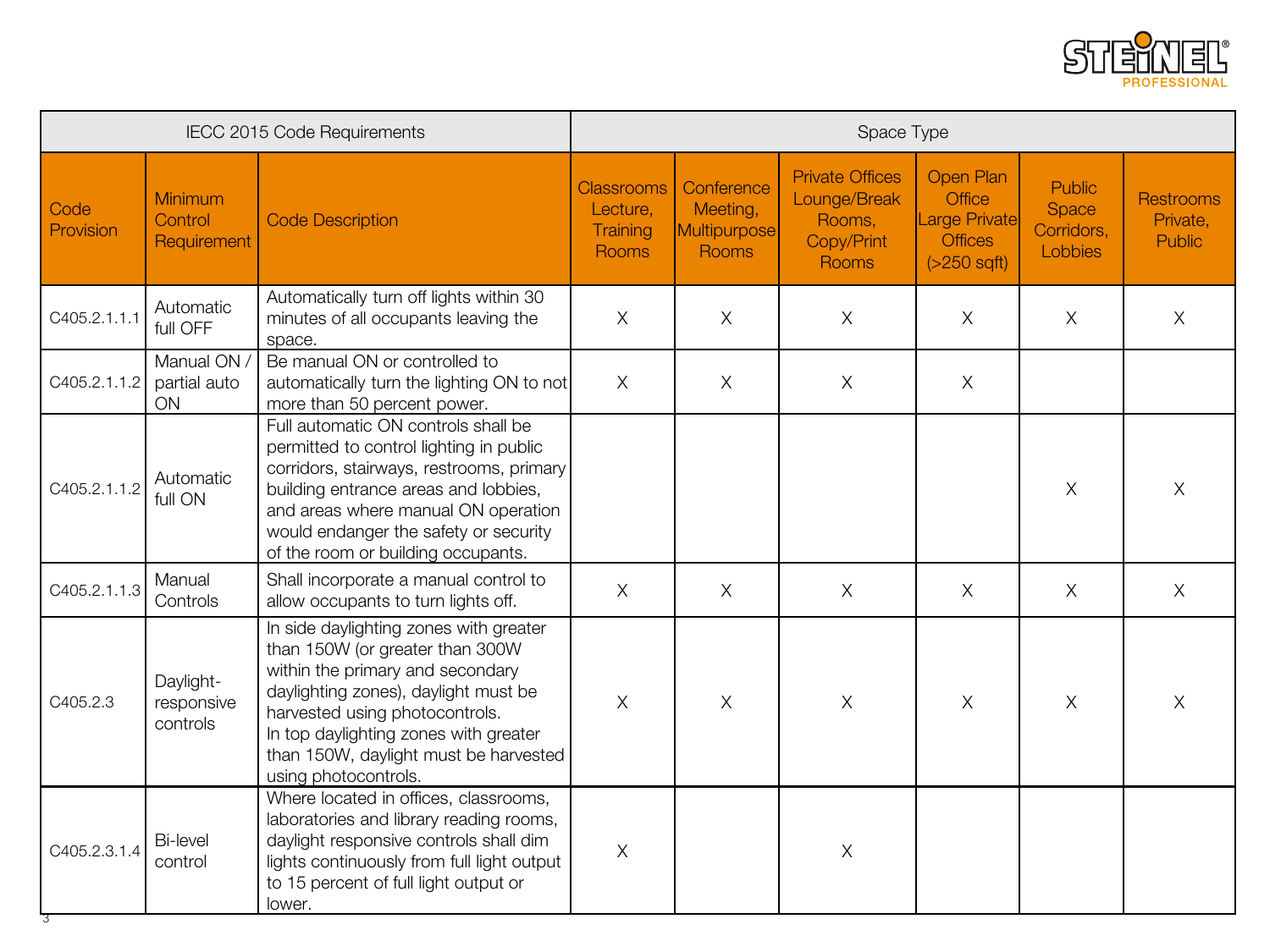

| IECC 2015 Code Requirements |                                     | Space Type                                                                                                                                                                                                                                                                                        |                                                    |                                                        |                                                                         |                                                                                                  |                                                 |                                               |
|-----------------------------|-------------------------------------|---------------------------------------------------------------------------------------------------------------------------------------------------------------------------------------------------------------------------------------------------------------------------------------------------|----------------------------------------------------|--------------------------------------------------------|-------------------------------------------------------------------------|--------------------------------------------------------------------------------------------------|-------------------------------------------------|-----------------------------------------------|
| Code<br>Provision           | Minimum<br>Control<br>Requirement   | <b>Code Description</b>                                                                                                                                                                                                                                                                           | <b>Classrooms</b><br>Lecture,<br>Training<br>Rooms | Conference<br>Meeting,<br><b>Multipurpose</b><br>Rooms | <b>Private Offices</b><br>Lounge/Break<br>Rooms,<br>Copy/Print<br>Rooms | <b>Open Plan</b><br><b>Office</b><br><b>Large Private</b><br><b>Offices</b><br>$($ >250 sqft $)$ | <b>Public</b><br>Space<br>Corridors,<br>Lobbies | <b>Restrooms</b><br>Private,<br><b>Public</b> |
| C405.2.1.1.1                | Automatic<br>full OFF               | Automatically turn off lights within 30<br>minutes of all occupants leaving the<br>space.                                                                                                                                                                                                         | $\times$                                           | $\times$                                               | $\times$                                                                | $\chi$                                                                                           | $\times$                                        | X                                             |
| C405.2.1.1.2                | Manual ON /<br>partial auto<br>ON   | Be manual ON or controlled to<br>automatically turn the lighting ON to not<br>more than 50 percent power.                                                                                                                                                                                         | $\times$                                           | $\times$                                               | $\times$                                                                | $\times$                                                                                         |                                                 |                                               |
| C405.2.1.1.2                | Automatic<br>full ON                | Full automatic ON controls shall be<br>permitted to control lighting in public<br>corridors, stairways, restrooms, primary<br>building entrance areas and lobbies,<br>and areas where manual ON operation<br>would endanger the safety or security<br>of the room or building occupants.          |                                                    |                                                        |                                                                         |                                                                                                  | $\times$                                        | $\times$                                      |
| C405.2.1.1.3                | Manual<br>Controls                  | Shall incorporate a manual control to<br>allow occupants to turn lights off.                                                                                                                                                                                                                      | $\times$                                           | $\times$                                               | $\times$                                                                | $\times$                                                                                         | $\times$                                        | $\times$                                      |
| C405.2.3                    | Daylight-<br>responsive<br>controls | In side daylighting zones with greater<br>than 150W (or greater than 300W<br>within the primary and secondary<br>daylighting zones), daylight must be<br>harvested using photocontrols.<br>In top daylighting zones with greater<br>than 150W, daylight must be harvested<br>using photocontrols. | $\times$                                           | $\times$                                               | X                                                                       | $\times$                                                                                         | $\times$                                        | X                                             |
| C405.2.3.1.4                | <b>Bi-level</b><br>control          | Where located in offices, classrooms,<br>laboratories and library reading rooms,<br>daylight responsive controls shall dim<br>lights continuously from full light output<br>to 15 percent of full light output or<br>lower.                                                                       | $\times$                                           |                                                        | X                                                                       |                                                                                                  |                                                 |                                               |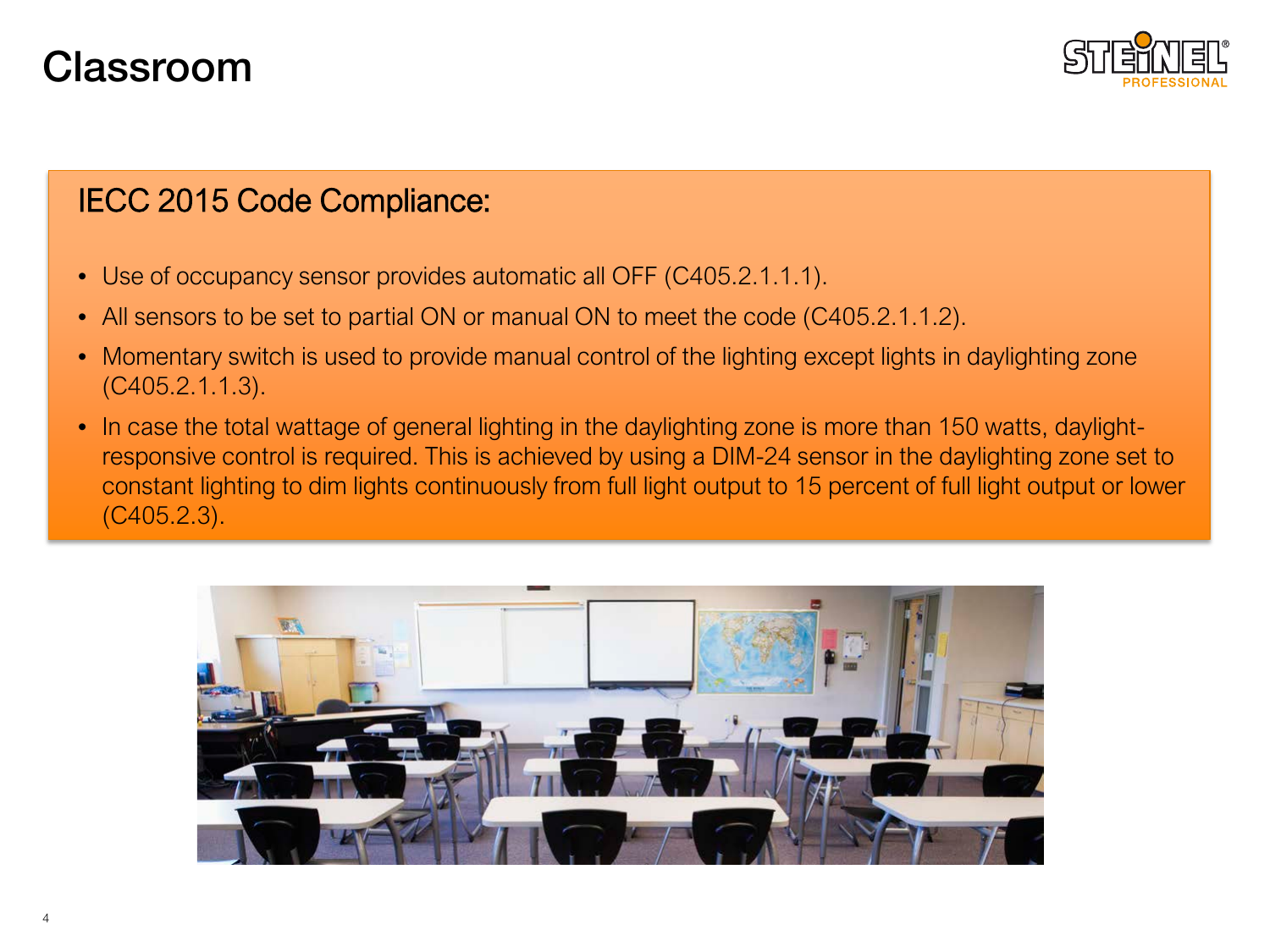## Classroom



- Use of occupancy sensor provides automatic all OFF (C405.2.1.1.1).
- All sensors to be set to partial ON or manual ON to meet the code (C405.2.1.1.2).
- Momentary switch is used to provide manual control of the lighting except lights in daylighting zone (C405.2.1.1.3).
- In case the total wattage of general lighting in the daylighting zone is more than 150 watts, daylightresponsive control is required. This is achieved by using a DIM-24 sensor in the daylighting zone set to constant lighting to dim lights continuously from full light output to 15 percent of full light output or lower (C405.2.3).

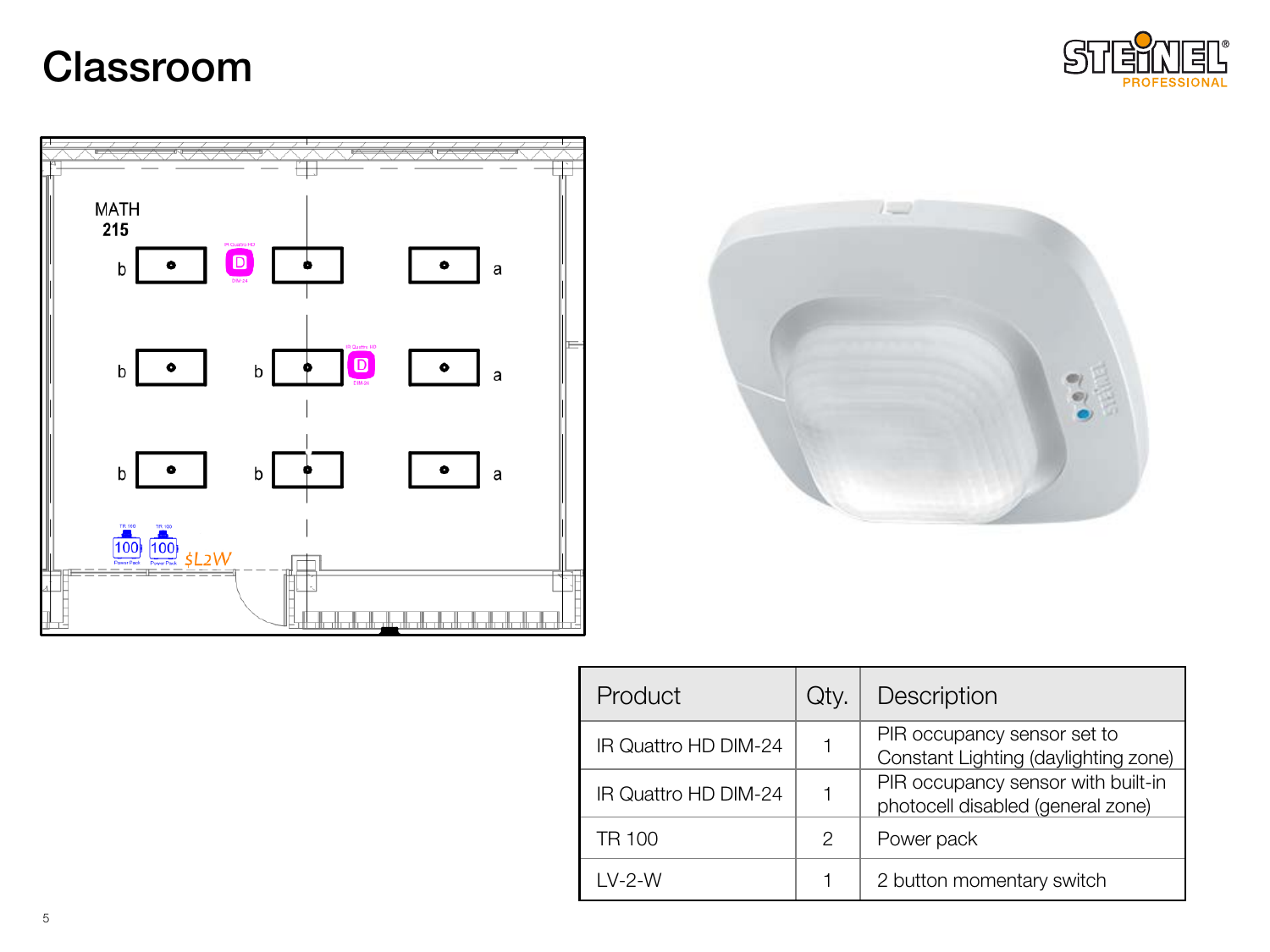## Classroom







| Product              | Qty. | Description                                                             |  |  |
|----------------------|------|-------------------------------------------------------------------------|--|--|
| IR Quattro HD DIM-24 |      | PIR occupancy sensor set to<br>Constant Lighting (daylighting zone)     |  |  |
| IR Quattro HD DIM-24 |      | PIR occupancy sensor with built-in<br>photocell disabled (general zone) |  |  |
| <b>TR 100</b>        | 2    | Power pack                                                              |  |  |
| $IV-2-W$             |      | 2 button momentary switch                                               |  |  |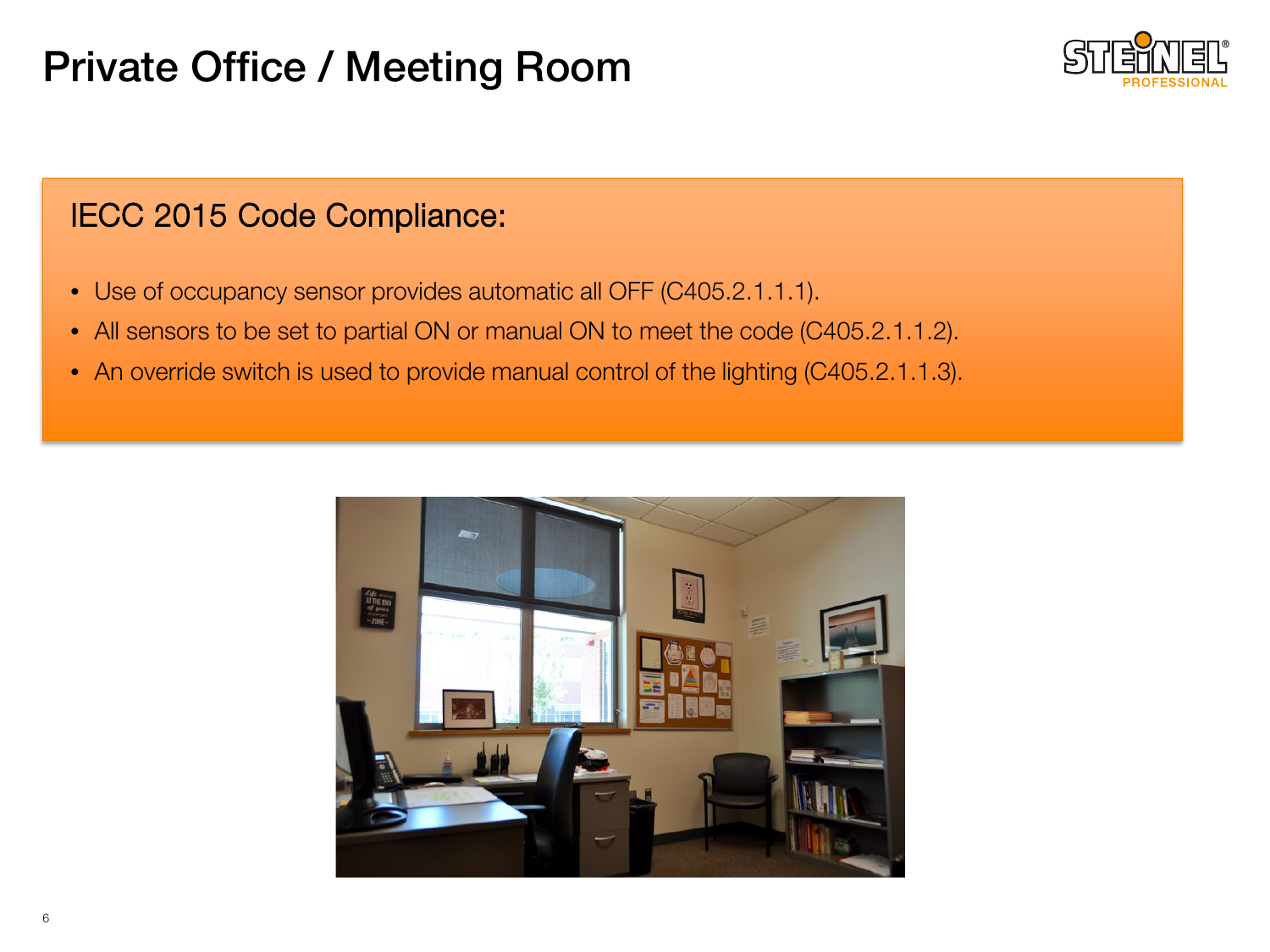## Private Office / Meeting Room



- Use of occupancy sensor provides automatic all OFF (C405.2.1.1.1).
- All sensors to be set to partial ON or manual ON to meet the code (C405.2.1.1.2).
- An override switch is used to provide manual control of the lighting (C405.2.1.1.3).

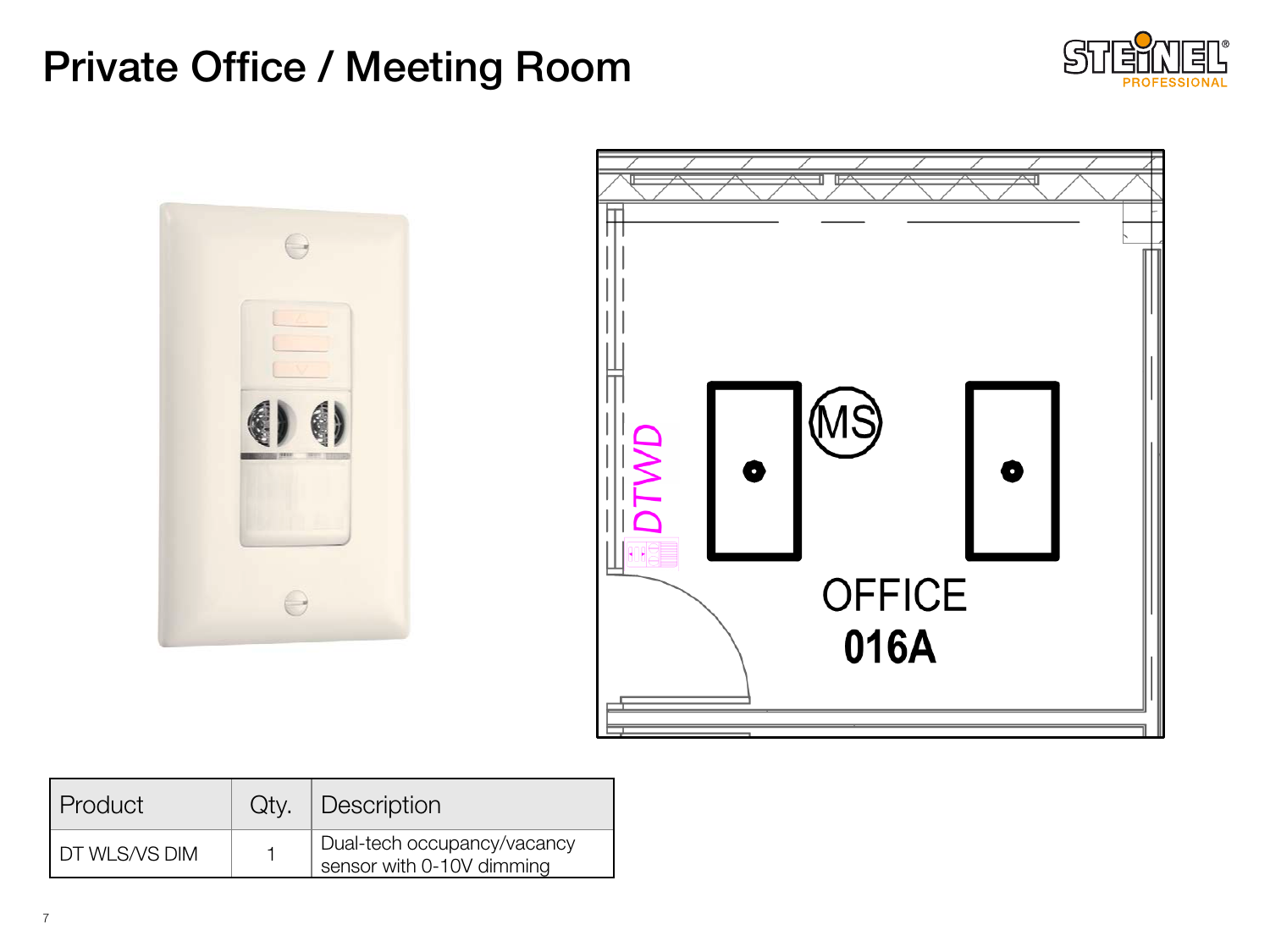## Private Office / Meeting Room





| l Product       | $Qty.$ Description                                       |  |
|-----------------|----------------------------------------------------------|--|
| I DT WLS/VS DIM | Dual-tech occupancy/vacancy<br>sensor with 0-10V dimming |  |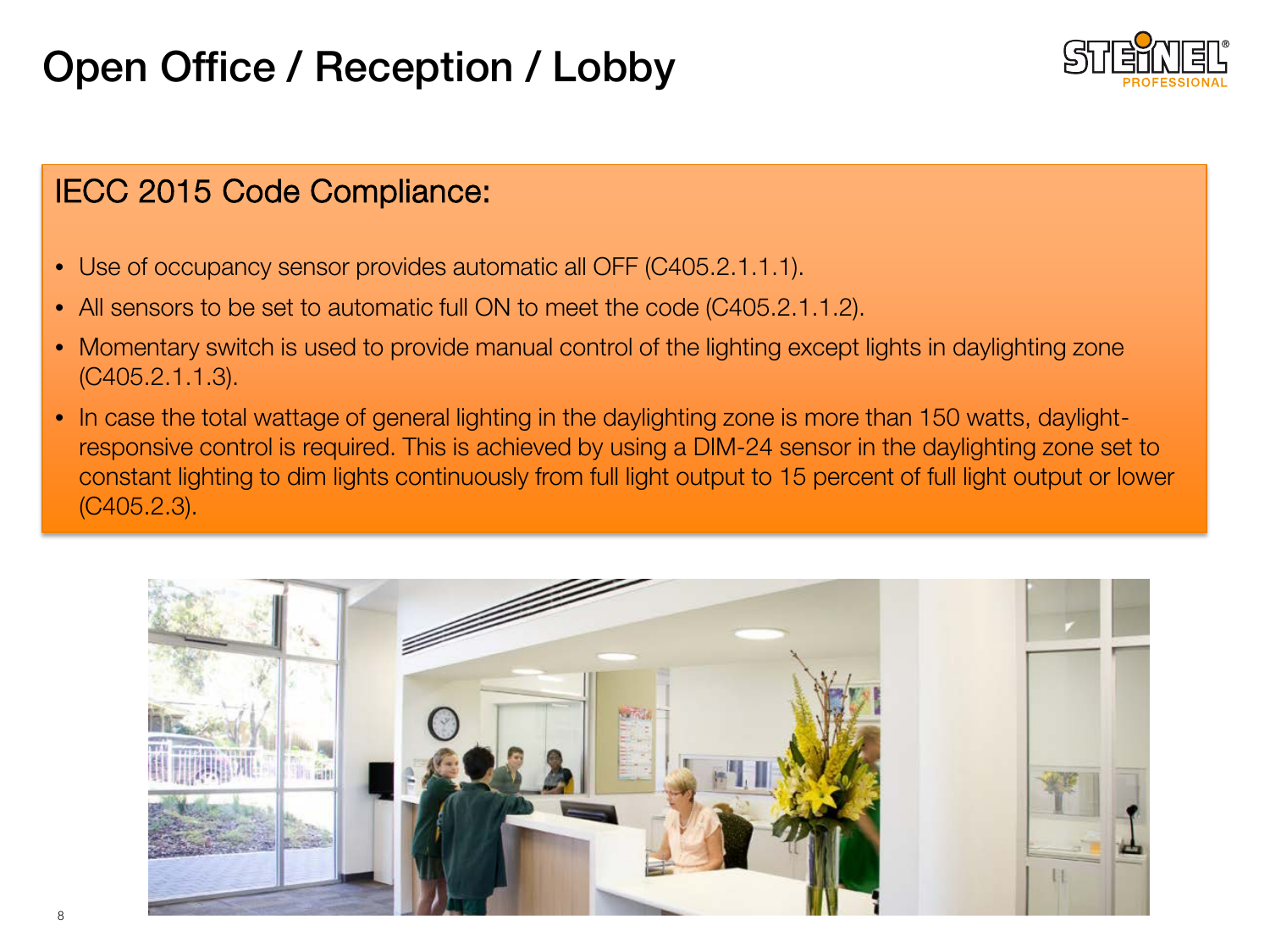## Open Office / Reception / Lobby



- Use of occupancy sensor provides automatic all OFF (C405.2.1.1.1).
- All sensors to be set to automatic full ON to meet the code (C405.2.1.1.2).
- Momentary switch is used to provide manual control of the lighting except lights in daylighting zone (C405.2.1.1.3).
- In case the total wattage of general lighting in the daylighting zone is more than 150 watts, daylightresponsive control is required. This is achieved by using a DIM-24 sensor in the daylighting zone set to constant lighting to dim lights continuously from full light output to 15 percent of full light output or lower (C405.2.3).

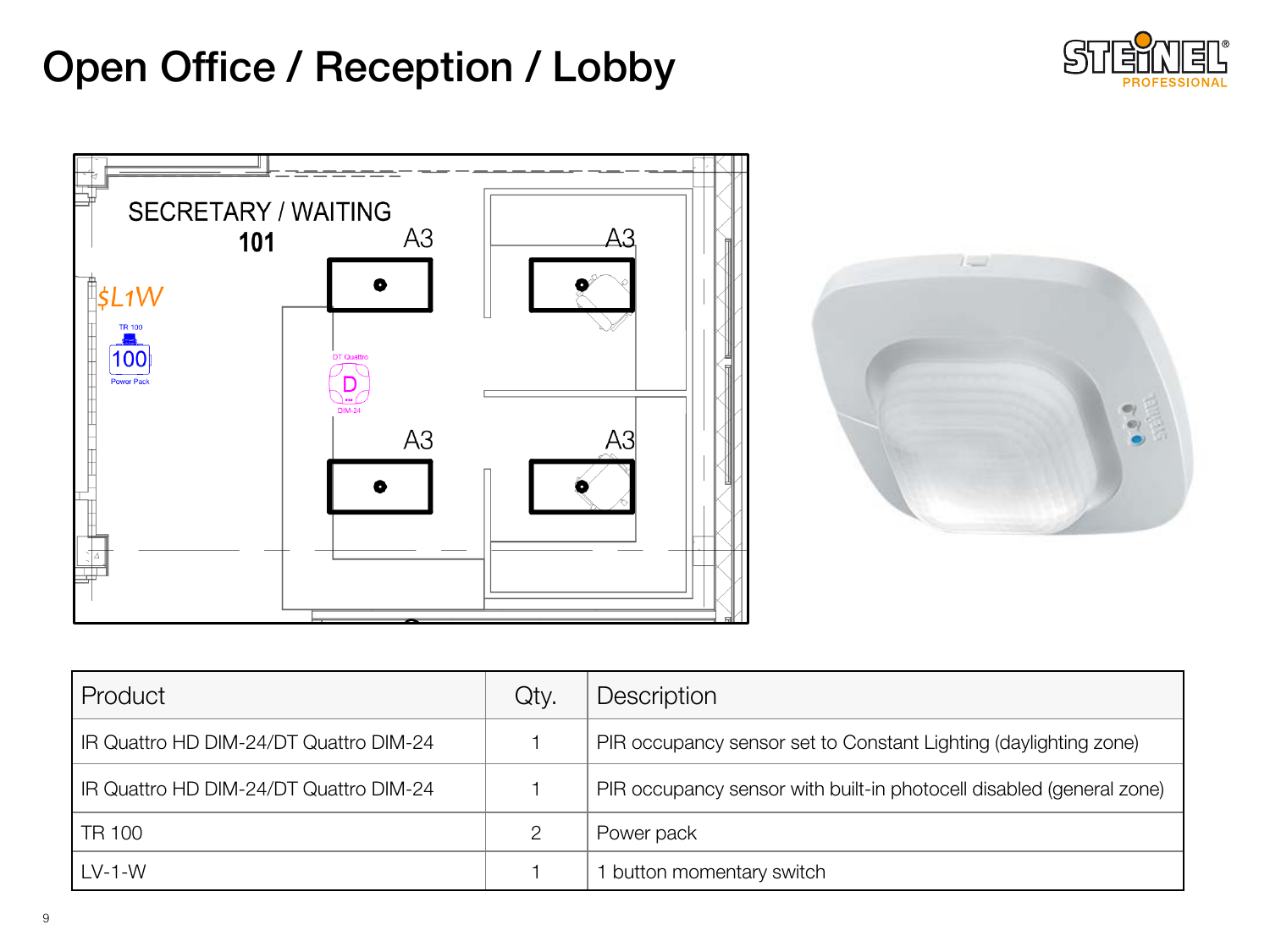## Open Office / Reception / Lobby







| l Product                              | Qty. | Description                                                          |  |
|----------------------------------------|------|----------------------------------------------------------------------|--|
| IR Quattro HD DIM-24/DT Quattro DIM-24 |      | PIR occupancy sensor set to Constant Lighting (daylighting zone)     |  |
| IR Quattro HD DIM-24/DT Quattro DIM-24 |      | PIR occupancy sensor with built-in photocell disabled (general zone) |  |
| TR 100                                 |      | Power pack                                                           |  |
| $LV-1-W$                               |      | button momentary switch                                              |  |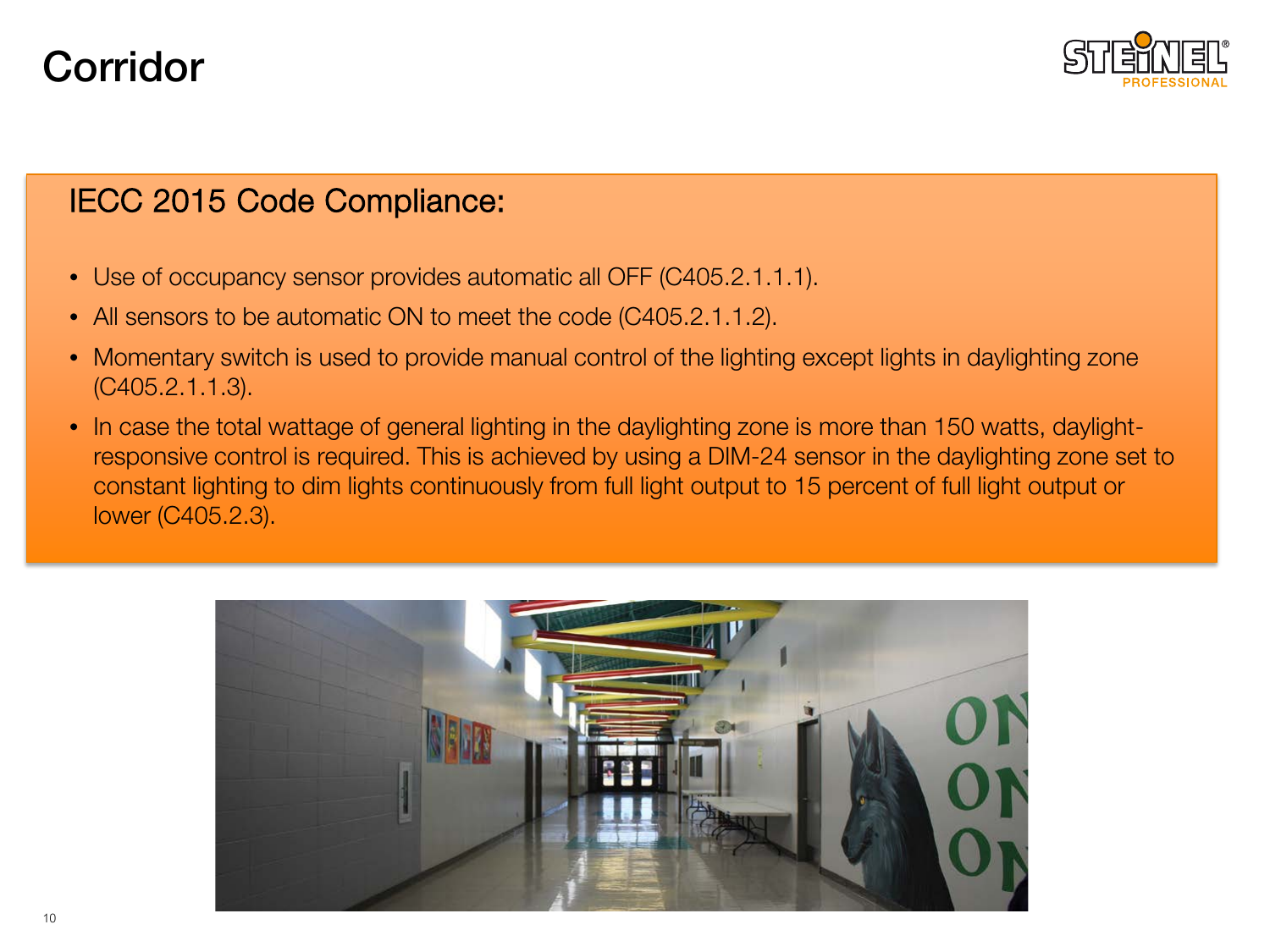## Corridor



- Use of occupancy sensor provides automatic all OFF (C405.2.1.1.1).
- All sensors to be automatic ON to meet the code (C405.2.1.1.2).
- Momentary switch is used to provide manual control of the lighting except lights in daylighting zone (C405.2.1.1.3).
- In case the total wattage of general lighting in the daylighting zone is more than 150 watts, daylightresponsive control is required. This is achieved by using a DIM-24 sensor in the daylighting zone set to constant lighting to dim lights continuously from full light output to 15 percent of full light output or lower (C405.2.3).

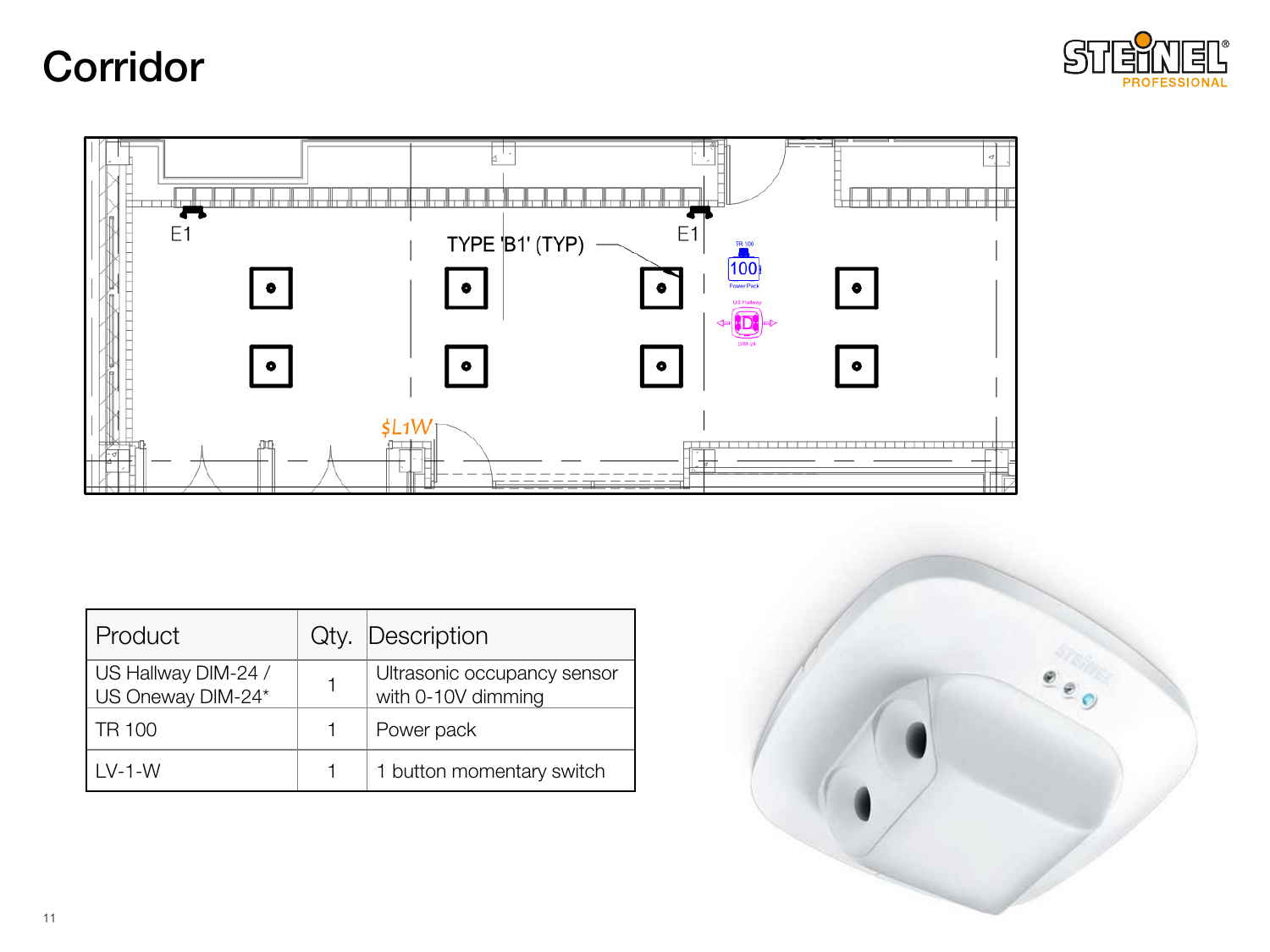## Corridor





| Product                                  | Qty. Description                                  |
|------------------------------------------|---------------------------------------------------|
| US Hallway DIM-24 /<br>US Oneway DIM-24* | Ultrasonic occupancy sensor<br>with 0-10V dimming |
| TR 100                                   | Power pack                                        |
| $IV-1-W$                                 | 1 button momentary switch                         |

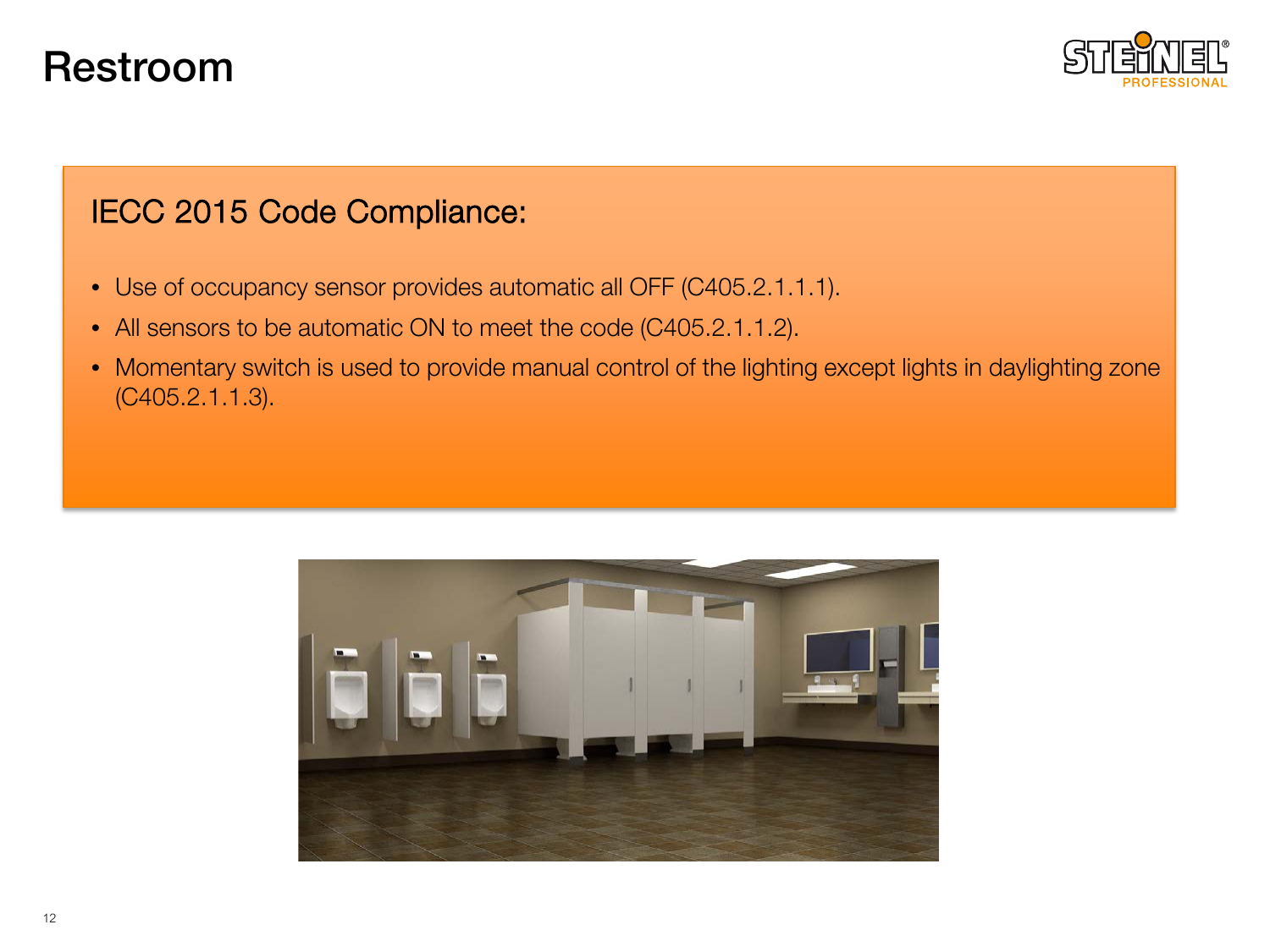### Restroom



- Use of occupancy sensor provides automatic all OFF (C405.2.1.1.1).
- All sensors to be automatic ON to meet the code (C405.2.1.1.2).
- Momentary switch is used to provide manual control of the lighting except lights in daylighting zone (C405.2.1.1.3).

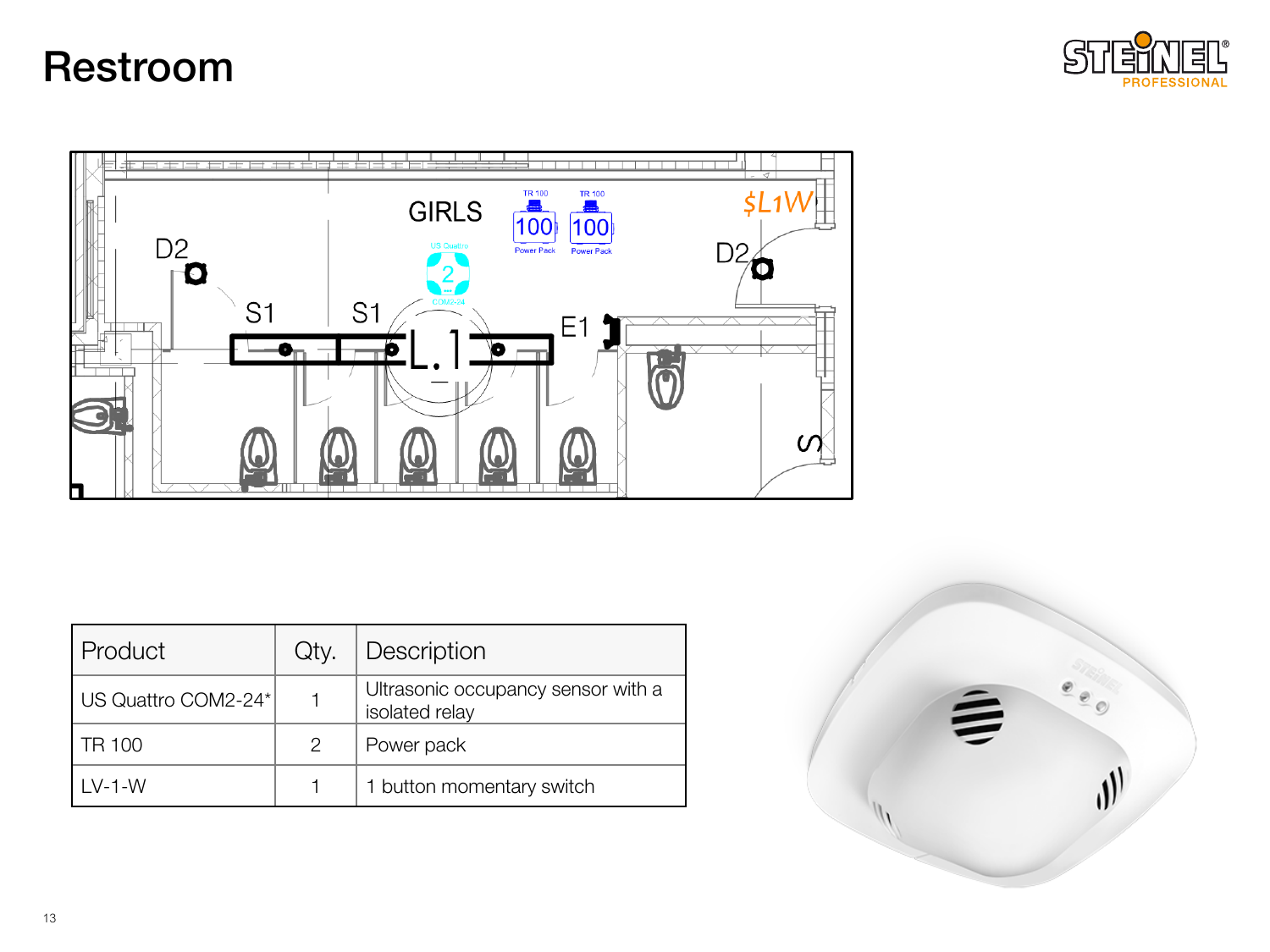### Restroom





| Product             | Qty. | Description                                          |  |
|---------------------|------|------------------------------------------------------|--|
| US Quattro COM2-24* |      | Ultrasonic occupancy sensor with a<br>isolated relay |  |
| TR 100              | 2    | Power pack                                           |  |
| I V-1-W             |      | 1 button momentary switch                            |  |